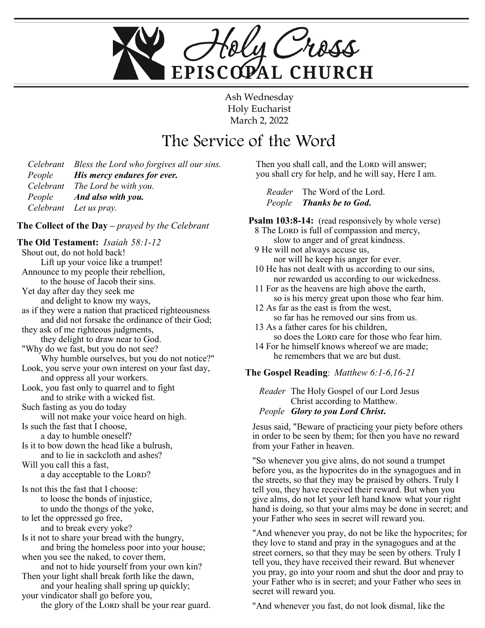

Ash Wednesday Holy Eucharist March 2, 2022

# The Service of the Word

*Celebrant Bless the Lord who forgives all our sins. People His mercy endures for ever. Celebrant The Lord be with you. People And also with you. Celebrant Let us pray.*

#### **The Collect of the Day –** *prayed by the Celebrant*

#### **The Old Testament:** *Isaiah 58:1-12*

Shout out, do not hold back! Lift up your voice like a trumpet! Announce to my people their rebellion, to the house of Jacob their sins. Yet day after day they seek me and delight to know my ways, as if they were a nation that practiced righteousness and did not forsake the ordinance of their God; they ask of me righteous judgments, they delight to draw near to God. "Why do we fast, but you do not see? Why humble ourselves, but you do not notice?" Look, you serve your own interest on your fast day, and oppress all your workers. Look, you fast only to quarrel and to fight and to strike with a wicked fist. Such fasting as you do today will not make your voice heard on high. Is such the fast that I choose, a day to humble oneself? Is it to bow down the head like a bulrush, and to lie in sackcloth and ashes? Will you call this a fast, a day acceptable to the LORD? Is not this the fast that I choose: to loose the bonds of injustice, to undo the thongs of the yoke, to let the oppressed go free, and to break every yoke? Is it not to share your bread with the hungry, and bring the homeless poor into your house; when you see the naked, to cover them, and not to hide yourself from your own kin? Then your light shall break forth like the dawn, and your healing shall spring up quickly; your vindicator shall go before you, the glory of the LORD shall be your rear guard.

Then you shall call, and the LORD will answer; you shall cry for help, and he will say, Here I am.

*Reader* The Word of the Lord. *People Thanks be to God***.**

**Psalm 103:8-14:** (read responsively by whole verse)

- 8 The Lord is full of compassion and mercy, slow to anger and of great kindness.
- 9 He will not always accuse us, nor will he keep his anger for ever.
- 10 He has not dealt with us according to our sins, nor rewarded us according to our wickedness.
- 11 For as the heavens are high above the earth, so is his mercy great upon those who fear him.
- 12 As far as the east is from the west,
	- so far has he removed our sins from us.
- 13 As a father cares for his children, so does the LORD care for those who fear him.
- 14 For he himself knows whereof we are made; he remembers that we are but dust.

#### **The Gospel Reading**: *Matthew 6:1-6,16-21*

*Reader* The Holy Gospel of our Lord Jesus Christ according to Matthew.

*People Glory to you Lord Christ***.**

Jesus said, "Beware of practicing your piety before others in order to be seen by them; for then you have no reward from your Father in heaven.

"So whenever you give alms, do not sound a trumpet before you, as the hypocrites do in the synagogues and in the streets, so that they may be praised by others. Truly I tell you, they have received their reward. But when you give alms, do not let your left hand know what your right hand is doing, so that your alms may be done in secret; and your Father who sees in secret will reward you.

"And whenever you pray, do not be like the hypocrites; for they love to stand and pray in the synagogues and at the street corners, so that they may be seen by others. Truly I tell you, they have received their reward. But whenever you pray, go into your room and shut the door and pray to your Father who is in secret; and your Father who sees in secret will reward you.

"And whenever you fast, do not look dismal, like the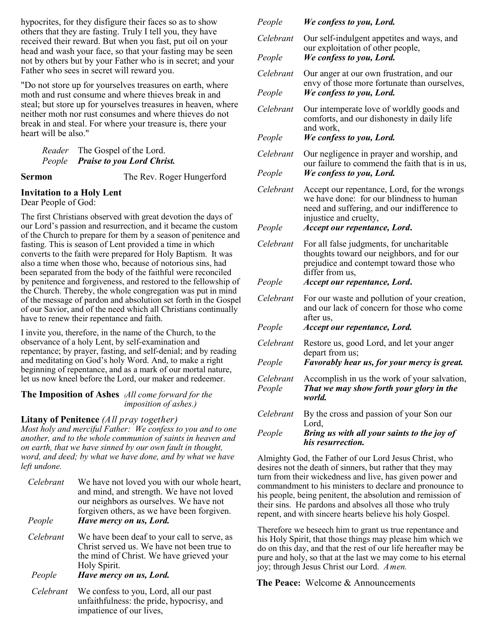hypocrites, for they disfigure their faces so as to show People others that they are fasting. Truly I tell you, they have received their reward. But when you fast, put oil on your head and wash your face, so that your fasting may be seen not by others but by your Father who is in secret; and your Father who sees in secret will reward you.

"Do not store up for yourselves treasures on earth, where moth and rust consume and where thieves break in and steal; but store up for yourselves treasures in heaven, where neither moth nor rust consumes and where thieves do not break in and steal. For where your treasure is, there your heart will be also."

*Reader* The Gospel of the Lord. *People Praise to you Lord Christ.*

**Sermon** The Rev. Roger Hungerford

#### **Invitation to a Holy Lent**

Dear People of God:

The first Christians observed with great devotion the days of our Lord's passion and resurrection, and it became the custom of the Church to prepare for them by a season of penitence and fasting. This is season of Lent provided a time in which converts to the faith were prepared for Holy Baptism. It was also a time when those who, because of notorious sins, had been separated from the body of the faithful were reconciled by penitence and forgiveness, and restored to the fellowship of the Church. Thereby, the whole congregation was put in mind of the message of pardon and absolution set forth in the Gospel of our Savior, and of the need which all Christians continually have to renew their repentance and faith.

I invite you, therefore, in the name of the Church, to the observance of a holy Lent, by self‑examination and repentance; by prayer, fasting, and self‑denial; and by reading and meditating on God's holy Word. And, to make a right beginning of repentance, and as a mark of our mortal nature, let us now kneel before the Lord, our maker and redeemer.

**The Imposition of Ashes** *(All come forward for the imposition of ashes.)*

#### **Litany of Penitence** *(All pray together)*

*Most holy and merciful Father: We confess to you and to one another, and to the whole communion of saints in heaven and on earth, that we have sinned by our own fault in thought, word, and deed; by what we have done, and by what we have left undone.*

| Celebrant | We have not loved you with our whole heart,<br>and mind, and strength. We have not loved<br>our neighbors as ourselves. We have not<br>forgiven others, as we have been forgiven. |
|-----------|-----------------------------------------------------------------------------------------------------------------------------------------------------------------------------------|
| People    | Have mercy on us, Lord.                                                                                                                                                           |
| Celebrant | We have been deaf to your call to serve, as<br>Christ served us. We have not been true to<br>the mind of Christ. We have grieved your<br>Holy Spirit.                             |
| People    | Have mercy on us, Lord.                                                                                                                                                           |
| Celebrant | We confess to you, Lord, all our past                                                                                                                                             |

unfaithfulness: the pride, hypocrisy, and impatience of our lives,

#### *We confess to you, Lord.*

| Celebrant<br>People | Our self-indulgent appetites and ways, and<br>our exploitation of other people,<br>We confess to you, Lord.                                                      |
|---------------------|------------------------------------------------------------------------------------------------------------------------------------------------------------------|
|                     |                                                                                                                                                                  |
| Celebrant           | Our anger at our own frustration, and our<br>envy of those more fortunate than ourselves,                                                                        |
| People              | We confess to you, Lord.                                                                                                                                         |
| Celebrant           | Our intemperate love of worldly goods and<br>comforts, and our dishonesty in daily life<br>and work,                                                             |
| People              | We confess to you, Lord.                                                                                                                                         |
| Celebrant           | Our negligence in prayer and worship, and<br>our failure to commend the faith that is in us,                                                                     |
| People              | We confess to you, Lord.                                                                                                                                         |
| Celebrant           | Accept our repentance, Lord, for the wrongs<br>we have done: for our blindness to human<br>need and suffering, and our indifference to<br>injustice and cruelty, |
| People              | Accept our repentance, Lord.                                                                                                                                     |
| Celebrant           | For all false judgments, for uncharitable<br>thoughts toward our neighbors, and for our<br>prejudice and contempt toward those who<br>differ from us,            |
| People              | Accept our repentance, Lord.                                                                                                                                     |
| Celebrant           | For our waste and pollution of your creation,<br>and our lack of concern for those who come<br>after us,                                                         |
| People              | Accept our repentance, Lord.                                                                                                                                     |
| Celebrant           | Restore us, good Lord, and let your anger<br>depart from us;                                                                                                     |
| People              | Favorably hear us, for your mercy is great.                                                                                                                      |
| Celebrant<br>People | Accomplish in us the work of your salvation,<br>That we may show forth your glory in the<br>world.                                                               |
| Celebrant           | By the cross and passion of your Son our<br>Lord,                                                                                                                |
| People              | Bring us with all your saints to the joy of<br><i>his resurrection.</i>                                                                                          |
|                     |                                                                                                                                                                  |

Almighty God, the Father of our Lord Jesus Christ, who desires not the death of sinners, but rather that they may turn from their wickedness and live, has given power and commandment to his ministers to declare and pronounce to his people, being penitent, the absolution and remission of their sins. He pardons and absolves all those who truly repent, and with sincere hearts believe his holy Gospel.

Therefore we beseech him to grant us true repentance and his Holy Spirit, that those things may please him which we do on this day, and that the rest of our life hereafter may be pure and holy, so that at the last we may come to his eternal joy; through Jesus Christ our Lord. *Amen.*

#### **The Peace:** Welcome & Announcements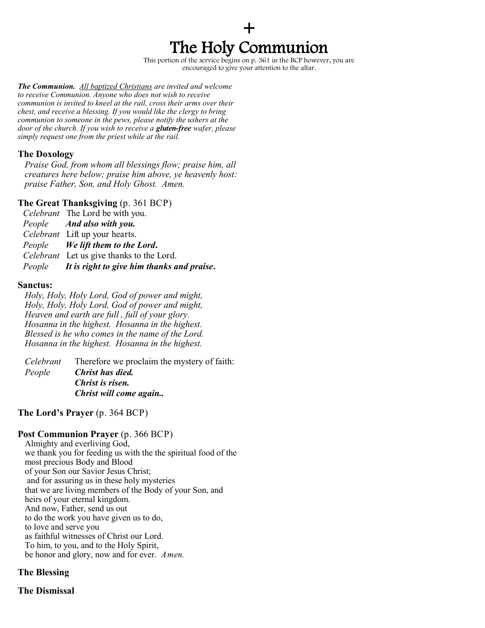# + The Holy Communion

This portion of the service begins on p. 361 in the BCP however, you are encouraged to give your attention to the altar.

*The Communion. All baptized Christians are invited and welcome to receive Communion. Anyone who does not wish to receive communion is invited to kneel at the rail, cross their arms over their chest, and receive a blessing. If you would like the clergy to bring communion to someone in the pews, please notify the ushers at the door of the church. If you wish to receive a gluten-free wafer, please simply request one from the priest while at the rail.* 

### **The Doxology**

*Praise God, from whom all blessings flow; praise him, all creatures here below; praise him above, ye heavenly host: praise Father, Son, and Holy Ghost. Amen.*

#### **The Great Thanksgiving** (p. 361 BCP)

*Celebrant* The Lord be with you. *People And also with you. Celebrant* Lift up your hearts. *People We lift them to the Lord***.** *Celebrant* Let us give thanks to the Lord. *People It is right to give him thanks and praise***.**

#### **Sanctus:**

*Holy, Holy, Holy Lord, God of power and might, Holy, Holy, Holy Lord, God of power and might, Heaven and earth are full , full of your glory. Hosanna in the highest. Hosanna in the highest. Blessed is he who comes in the name of the Lord. Hosanna in the highest. Hosanna in the highest.* 

*Celebrant* Therefore we proclaim the mystery of faith: *People Christ has died. Christ is risen. Christ will come again..*

#### **The Lord's Prayer** (p. 364 BCP)

### **Post Communion Prayer** (p. 366 BCP)

Almighty and everliving God, we thank you for feeding us with the the spiritual food of the most precious Body and Blood of your Son our Savior Jesus Christ; and for assuring us in these holy mysteries that we are living members of the Body of your Son, and heirs of your eternal kingdom. And now, Father, send us out to do the work you have given us to do, to love and serve you as faithful witnesses of Christ our Lord. To him, to you, and to the Holy Spirit, be honor and glory, now and for ever. *Amen.*

### **The Blessing**

**The Dismissal**